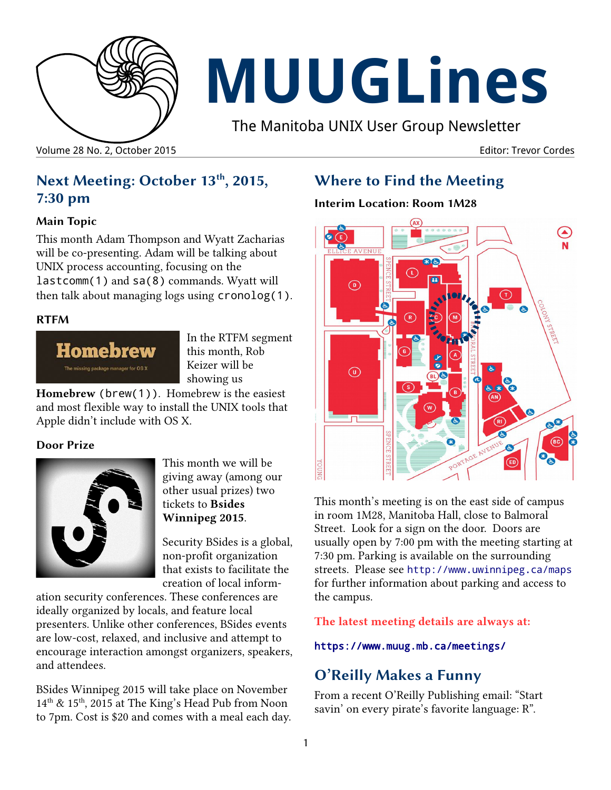

# **MUUGLines**

The Manitoba UNIX User Group Newsletter

Volume 28 No. 2, October 2015 Editor: Trevor Cordes

# **Next Meeting: October 13th, 2015, 7:30 pm**

#### **Main Topic**

This month Adam Thompson and Wyatt Zacharias will be co-presenting. Adam will be talking about UNIX process accounting, focusing on the lastcomm(1) and sa(8) commands. Wyatt will then talk about managing logs using cronolog(1).

#### **RTFM**



In the RTFM segment this month, Rob Keizer will be showing us

**Homebrew** (brew(1)). Homebrew is the easiest and most flexible way to install the UNIX tools that Apple didn't include with OS X.

#### **Door Prize**



This month we will be giving away (among our other usual prizes) two tickets to **Bsides Winnipeg 2015**.

Security BSides is a global, non-profit organization that exists to facilitate the creation of local inform-

ation security conferences. These conferences are ideally organized by locals, and feature local presenters. Unlike other conferences, BSides events are low-cost, relaxed, and inclusive and attempt to encourage interaction amongst organizers, speakers, and attendees.

BSides Winnipeg 2015 will take place on November 14<sup>th</sup> & 15<sup>th</sup>, 2015 at The King's Head Pub from Noon to 7pm. Cost is \$20 and comes with a meal each day.

# **Where to Find the Meeting**

#### **Interim Location: Room 1M28**



This month's meeting is on the east side of campus in room 1M28, Manitoba Hall, close to Balmoral Street. Look for a sign on the door. Doors are usually open by 7:00 pm with the meeting starting at 7:30 pm. Parking is available on the surrounding streets. Please see <http://www.uwinnipeg.ca/maps> for further information about parking and access to the campus.

#### **The latest meeting details are always at:**

#### <https://www.muug.mb.ca/meetings/>

# **O'Reilly Makes a Funny**

From a recent O'Reilly Publishing email: "Start savin' on every pirate's favorite language: R".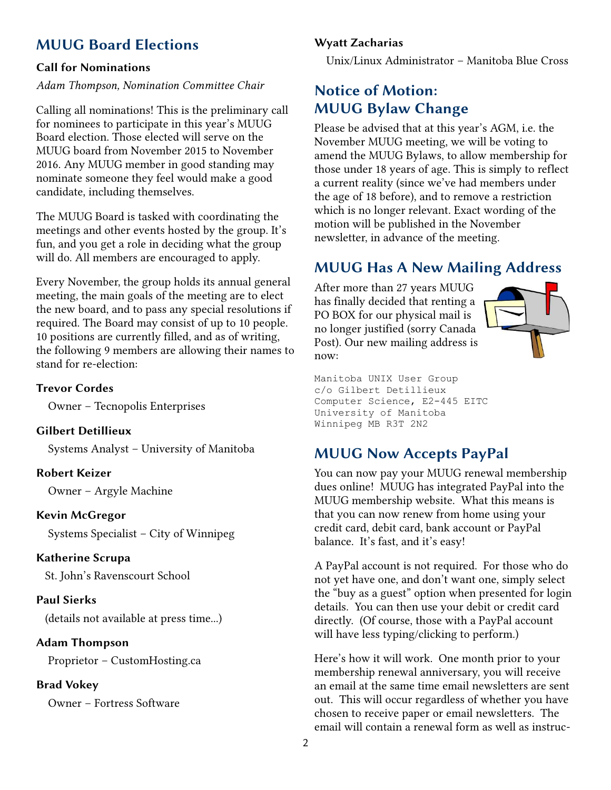# **MUUG Board Elections**

#### **Call for Nominations**

#### *Adam Thompson, Nomination Committee Chair*

Calling all nominations! This is the preliminary call for nominees to participate in this year's MUUG Board election. Those elected will serve on the MUUG board from November 2015 to November 2016. Any MUUG member in good standing may nominate someone they feel would make a good candidate, including themselves.

The MUUG Board is tasked with coordinating the meetings and other events hosted by the group. It's fun, and you get a role in deciding what the group will do. All members are encouraged to apply.

Every November, the group holds its annual general meeting, the main goals of the meeting are to elect the new board, and to pass any special resolutions if required. The Board may consist of up to 10 people. 10 positions are currently filled, and as of writing, the following 9 members are allowing their names to stand for re-election:

#### **Trevor Cordes**

Owner – Tecnopolis Enterprises

#### **Gilbert Detillieux**

Systems Analyst – University of Manitoba

#### **Robert Keizer**

Owner – Argyle Machine

#### **Kevin McGregor**

Systems Specialist – City of Winnipeg

#### **Katherine Scrupa**

St. John's Ravenscourt School

#### **Paul Sierks**

(details not available at press time...)

#### **Adam Thompson**

Proprietor – CustomHosting.ca

#### **Brad Vokey**

Owner – Fortress Software

#### **Wyatt Zacharias**

Unix/Linux Administrator – Manitoba Blue Cross

## **Notice of Motion: MUUG Bylaw Change**

Please be advised that at this year's AGM, i.e. the November MUUG meeting, we will be voting to amend the MUUG Bylaws, to allow membership for those under 18 years of age. This is simply to reflect a current reality (since we've had members under the age of 18 before), and to remove a restriction which is no longer relevant. Exact wording of the motion will be published in the November newsletter, in advance of the meeting.

# **MUUG Has A New Mailing Address**

After more than 27 years MUUG has finally decided that renting a PO BOX for our physical mail is no longer justified (sorry Canada Post). Our new mailing address is now:



Manitoba UNIX User Group c/o Gilbert Detillieux Computer Science, E2-445 EITC University of Manitoba Winnipeg MB R3T 2N2

# **MUUG Now Accepts PayPal**

You can now pay your MUUG renewal membership dues online! MUUG has integrated PayPal into the MUUG membership website. What this means is that you can now renew from home using your credit card, debit card, bank account or PayPal balance. It's fast, and it's easy!

A PayPal account is not required. For those who do not yet have one, and don't want one, simply select the "buy as a guest" option when presented for login details. You can then use your debit or credit card directly. (Of course, those with a PayPal account will have less typing/clicking to perform.)

Here's how it will work. One month prior to your membership renewal anniversary, you will receive an email at the same time email newsletters are sent out. This will occur regardless of whether you have chosen to receive paper or email newsletters. The email will contain a renewal form as well as instruc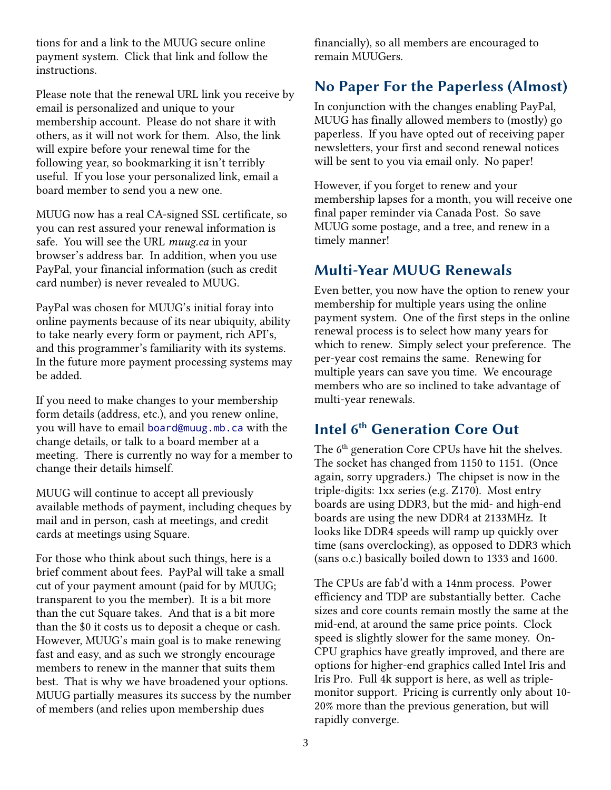tions for and a link to the MUUG secure online payment system. Click that link and follow the instructions.

Please note that the renewal URL link you receive by email is personalized and unique to your membership account. Please do not share it with others, as it will not work for them. Also, the link will expire before your renewal time for the following year, so bookmarking it isn't terribly useful. If you lose your personalized link, email a board member to send you a new one.

MUUG now has a real CA-signed SSL certificate, so you can rest assured your renewal information is safe. You will see the URL *muug.ca* in your browser's address bar. In addition, when you use PayPal, your financial information (such as credit card number) is never revealed to MUUG.

PayPal was chosen for MUUG's initial foray into online payments because of its near ubiquity, ability to take nearly every form or payment, rich API's, and this programmer's familiarity with its systems. In the future more payment processing systems may be added.

If you need to make changes to your membership form details (address, etc.), and you renew online, you will have to email [board@muug.mb.ca](mailto:board@muug.mb.ca) with the change details, or talk to a board member at a meeting. There is currently no way for a member to change their details himself.

MUUG will continue to accept all previously available methods of payment, including cheques by mail and in person, cash at meetings, and credit cards at meetings using Square.

For those who think about such things, here is a brief comment about fees. PayPal will take a small cut of your payment amount (paid for by MUUG; transparent to you the member). It is a bit more than the cut Square takes. And that is a bit more than the \$0 it costs us to deposit a cheque or cash. However, MUUG's main goal is to make renewing fast and easy, and as such we strongly encourage members to renew in the manner that suits them best. That is why we have broadened your options. MUUG partially measures its success by the number of members (and relies upon membership dues

financially), so all members are encouraged to remain MUUGers.

# **No Paper For the Paperless (Almost)**

In conjunction with the changes enabling PayPal, MUUG has finally allowed members to (mostly) go paperless. If you have opted out of receiving paper newsletters, your first and second renewal notices will be sent to you via email only. No paper!

However, if you forget to renew and your membership lapses for a month, you will receive one final paper reminder via Canada Post. So save MUUG some postage, and a tree, and renew in a timely manner!

# **Multi-Year MUUG Renewals**

Even better, you now have the option to renew your membership for multiple years using the online payment system. One of the first steps in the online renewal process is to select how many years for which to renew. Simply select your preference. The per-year cost remains the same. Renewing for multiple years can save you time. We encourage members who are so inclined to take advantage of multi-year renewals.

# **Intel 6th Generation Core Out**

The  $6^{\rm th}$  generation Core CPUs have hit the shelves. The socket has changed from 1150 to 1151. (Once again, sorry upgraders.) The chipset is now in the triple-digits: 1xx series (e.g. Z170). Most entry boards are using DDR3, but the mid- and high-end boards are using the new DDR4 at 2133MHz. It looks like DDR4 speeds will ramp up quickly over time (sans overclocking), as opposed to DDR3 which (sans o.c.) basically boiled down to 1333 and 1600.

The CPUs are fab'd with a 14nm process. Power efficiency and TDP are substantially better. Cache sizes and core counts remain mostly the same at the mid-end, at around the same price points. Clock speed is slightly slower for the same money. On-CPU graphics have greatly improved, and there are options for higher-end graphics called Intel Iris and Iris Pro. Full 4k support is here, as well as triplemonitor support. Pricing is currently only about 10- 20% more than the previous generation, but will rapidly converge.